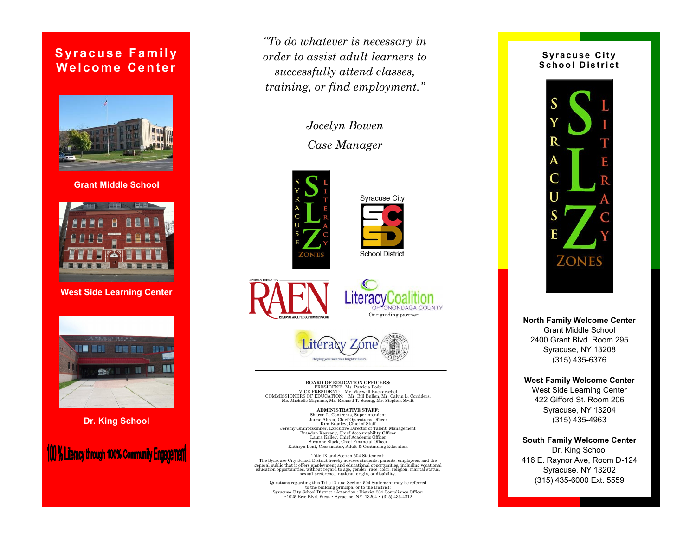## **Syracuse Family Welcome Center**



**Grant Middle School**



**West Side Learning Center**



**Dr. King School**

100 % Literacy through 100% Community Engagement

*"To do whatever is necessary in order to assist adult learners to successfully attend classes, training, or find employment."*

> *Jocelyn Bowen Case Manager*











#### **BOARD OF EDUCATION OFFICERS:**

PRESIDENT: Ms. Patricia Body VICE PRESIDENT: Mr. Maxwell Ruckdeschel COMMISSIONERS OF EDUCATION: Mr. Bill Bullen, Mr. Calvin L. Corriders, Ms. Michelle Mignano, Mr. Richard T. Strong, Mr. Stephen Swift

**ADMINISTRATIVE STAFF:** Sharon L. Contreras, Superintendent Jaime Alicea, Chief Operations Officer Kim Bradley, Chief of Staff Jeremy Grant-Skinner, Executive Director of Talent Management Brandan Keaveny, Chief Accountability Officer Laura Kelley, Chief Academic Officer Suzanne Slack, Chief Financial Officer Kathryn Lent, Coordinator, Adult & Continuing Education

Title IX and Section 504 Statement: The Syracuse City School District hereby advises students, parents, employees, and the general public that it offers employment and educational opportunities, including vocational education opportunities, without regard to age, gender, race, color, religion, marital status, sexual preference, national origin, or disability.

Questions regarding this Title IX and Section 504 Statement may be referred to the building principal or to the District:<br>Syracuse City School District •Attention : District 504 Compliance Officer<br>•1025 Erie Blvd. West • Syracuse, NY 13204 • (315) 435-4212

#### **Syracuse City** School District



**North Family Welcome Center** Grant Middle School 2400 Grant Blvd. Room 295 Syracuse, NY 13208 (315) 435-6376

### **West Family Welcome Center**

West Side Learning Center 422 Gifford St. Room 206 Syracuse, NY 13204 (315) 435-4963

**South Family Welcome Center** Dr. King School 416 E. Raynor Ave, Room D-124 Syracuse, NY 13202 (315) 435-6000 Ext. 5559